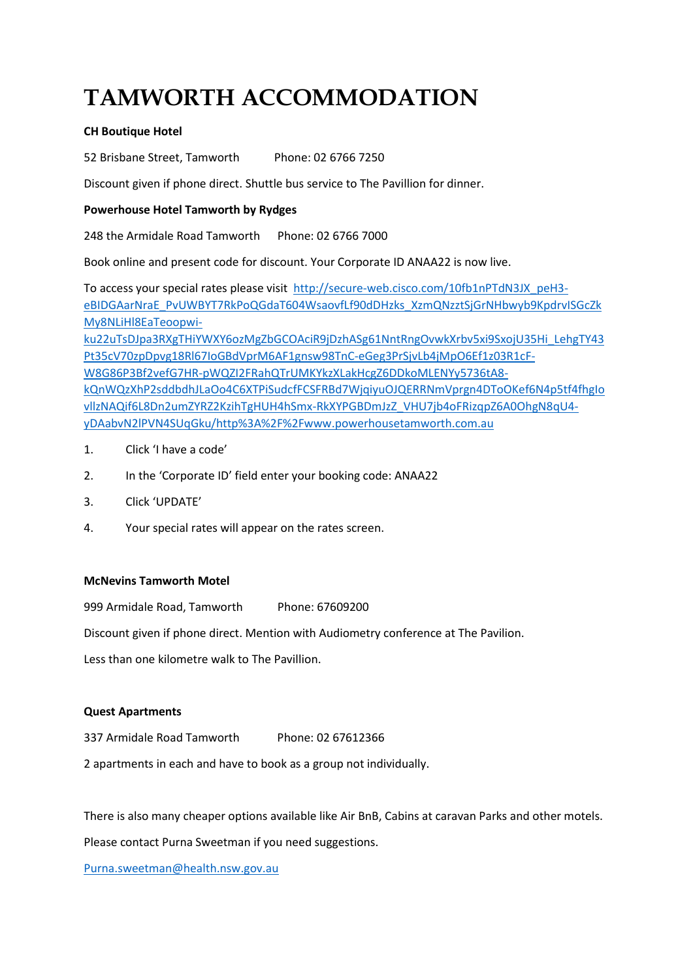# **TAMWORTH ACCOMMODATION**

## **CH Boutique Hotel**

52 Brisbane Street, Tamworth Phone: 02 6766 7250

Discount given if phone direct. Shuttle bus service to The Pavillion for dinner.

### **Powerhouse Hotel Tamworth by Rydges**

248 the Armidale Road Tamworth Phone: 02 6766 7000

Book online and present code for discount. Your Corporate ID ANAA22 is now live.

To access your special rates please visit [http://secure-web.cisco.com/10fb1nPTdN3JX\\_peH3](http://secure-web.cisco.com/10fb1nPTdN3JX_peH3-eBIDGAarNraE_PvUWBYT7RkPoQGdaT604WsaovfLf90dDHzks_XzmQNzztSjGrNHbwyb9KpdrvISGcZkMy8NLiHl8EaTeoopwi-ku22uTsDJpa3RXgTHiYWXY6ozMgZbGCOAciR9jDzhASg61NntRngOvwkXrbv5xi9SxojU35Hi_LehgTY43Pt35cV70zpDpvg18Rl67IoGBdVprM6AF1gnsw98TnC-eGeg3PrSjvLb4jMpO6Ef1z03R1cF-W8G86P3Bf2vefG7HR-pWQZI2FRahQTrUMKYkzXLakHcgZ6DDkoMLENYy5736tA8-kQnWQzXhP2sddbdhJLaOo4C6XTPiSudcfFCSFRBd7WjqiyuOJQERRNmVprgn4DToOKef6N4p5tf4fhgIovllzNAQif6L8Dn2umZYRZ2KzihTgHUH4hSmx-RkXYPGBDmJzZ_VHU7jb4oFRizqpZ6A0OhgN8qU4-yDAabvN2lPVN4SUqGku/http%3A%2F%2Fwww.powerhousetamworth.com.au) [eBIDGAarNraE\\_PvUWBYT7RkPoQGdaT604WsaovfLf90dDHzks\\_XzmQNzztSjGrNHbwyb9KpdrvISGcZk](http://secure-web.cisco.com/10fb1nPTdN3JX_peH3-eBIDGAarNraE_PvUWBYT7RkPoQGdaT604WsaovfLf90dDHzks_XzmQNzztSjGrNHbwyb9KpdrvISGcZkMy8NLiHl8EaTeoopwi-ku22uTsDJpa3RXgTHiYWXY6ozMgZbGCOAciR9jDzhASg61NntRngOvwkXrbv5xi9SxojU35Hi_LehgTY43Pt35cV70zpDpvg18Rl67IoGBdVprM6AF1gnsw98TnC-eGeg3PrSjvLb4jMpO6Ef1z03R1cF-W8G86P3Bf2vefG7HR-pWQZI2FRahQTrUMKYkzXLakHcgZ6DDkoMLENYy5736tA8-kQnWQzXhP2sddbdhJLaOo4C6XTPiSudcfFCSFRBd7WjqiyuOJQERRNmVprgn4DToOKef6N4p5tf4fhgIovllzNAQif6L8Dn2umZYRZ2KzihTgHUH4hSmx-RkXYPGBDmJzZ_VHU7jb4oFRizqpZ6A0OhgN8qU4-yDAabvN2lPVN4SUqGku/http%3A%2F%2Fwww.powerhousetamworth.com.au) [My8NLiHl8EaTeoopwi](http://secure-web.cisco.com/10fb1nPTdN3JX_peH3-eBIDGAarNraE_PvUWBYT7RkPoQGdaT604WsaovfLf90dDHzks_XzmQNzztSjGrNHbwyb9KpdrvISGcZkMy8NLiHl8EaTeoopwi-ku22uTsDJpa3RXgTHiYWXY6ozMgZbGCOAciR9jDzhASg61NntRngOvwkXrbv5xi9SxojU35Hi_LehgTY43Pt35cV70zpDpvg18Rl67IoGBdVprM6AF1gnsw98TnC-eGeg3PrSjvLb4jMpO6Ef1z03R1cF-W8G86P3Bf2vefG7HR-pWQZI2FRahQTrUMKYkzXLakHcgZ6DDkoMLENYy5736tA8-kQnWQzXhP2sddbdhJLaOo4C6XTPiSudcfFCSFRBd7WjqiyuOJQERRNmVprgn4DToOKef6N4p5tf4fhgIovllzNAQif6L8Dn2umZYRZ2KzihTgHUH4hSmx-RkXYPGBDmJzZ_VHU7jb4oFRizqpZ6A0OhgN8qU4-yDAabvN2lPVN4SUqGku/http%3A%2F%2Fwww.powerhousetamworth.com.au)[ku22uTsDJpa3RXgTHiYWXY6ozMgZbGCOAciR9jDzhASg61NntRngOvwkXrbv5xi9SxojU35Hi\\_LehgTY43](http://secure-web.cisco.com/10fb1nPTdN3JX_peH3-eBIDGAarNraE_PvUWBYT7RkPoQGdaT604WsaovfLf90dDHzks_XzmQNzztSjGrNHbwyb9KpdrvISGcZkMy8NLiHl8EaTeoopwi-ku22uTsDJpa3RXgTHiYWXY6ozMgZbGCOAciR9jDzhASg61NntRngOvwkXrbv5xi9SxojU35Hi_LehgTY43Pt35cV70zpDpvg18Rl67IoGBdVprM6AF1gnsw98TnC-eGeg3PrSjvLb4jMpO6Ef1z03R1cF-W8G86P3Bf2vefG7HR-pWQZI2FRahQTrUMKYkzXLakHcgZ6DDkoMLENYy5736tA8-kQnWQzXhP2sddbdhJLaOo4C6XTPiSudcfFCSFRBd7WjqiyuOJQERRNmVprgn4DToOKef6N4p5tf4fhgIovllzNAQif6L8Dn2umZYRZ2KzihTgHUH4hSmx-RkXYPGBDmJzZ_VHU7jb4oFRizqpZ6A0OhgN8qU4-yDAabvN2lPVN4SUqGku/http%3A%2F%2Fwww.powerhousetamworth.com.au) [Pt35cV70zpDpvg18Rl67IoGBdVprM6AF1gnsw98TnC-eGeg3PrSjvLb4jMpO6Ef1z03R1cF-](http://secure-web.cisco.com/10fb1nPTdN3JX_peH3-eBIDGAarNraE_PvUWBYT7RkPoQGdaT604WsaovfLf90dDHzks_XzmQNzztSjGrNHbwyb9KpdrvISGcZkMy8NLiHl8EaTeoopwi-ku22uTsDJpa3RXgTHiYWXY6ozMgZbGCOAciR9jDzhASg61NntRngOvwkXrbv5xi9SxojU35Hi_LehgTY43Pt35cV70zpDpvg18Rl67IoGBdVprM6AF1gnsw98TnC-eGeg3PrSjvLb4jMpO6Ef1z03R1cF-W8G86P3Bf2vefG7HR-pWQZI2FRahQTrUMKYkzXLakHcgZ6DDkoMLENYy5736tA8-kQnWQzXhP2sddbdhJLaOo4C6XTPiSudcfFCSFRBd7WjqiyuOJQERRNmVprgn4DToOKef6N4p5tf4fhgIovllzNAQif6L8Dn2umZYRZ2KzihTgHUH4hSmx-RkXYPGBDmJzZ_VHU7jb4oFRizqpZ6A0OhgN8qU4-yDAabvN2lPVN4SUqGku/http%3A%2F%2Fwww.powerhousetamworth.com.au)[W8G86P3Bf2vefG7HR-pWQZI2FRahQTrUMKYkzXLakHcgZ6DDkoMLENYy5736tA8](http://secure-web.cisco.com/10fb1nPTdN3JX_peH3-eBIDGAarNraE_PvUWBYT7RkPoQGdaT604WsaovfLf90dDHzks_XzmQNzztSjGrNHbwyb9KpdrvISGcZkMy8NLiHl8EaTeoopwi-ku22uTsDJpa3RXgTHiYWXY6ozMgZbGCOAciR9jDzhASg61NntRngOvwkXrbv5xi9SxojU35Hi_LehgTY43Pt35cV70zpDpvg18Rl67IoGBdVprM6AF1gnsw98TnC-eGeg3PrSjvLb4jMpO6Ef1z03R1cF-W8G86P3Bf2vefG7HR-pWQZI2FRahQTrUMKYkzXLakHcgZ6DDkoMLENYy5736tA8-kQnWQzXhP2sddbdhJLaOo4C6XTPiSudcfFCSFRBd7WjqiyuOJQERRNmVprgn4DToOKef6N4p5tf4fhgIovllzNAQif6L8Dn2umZYRZ2KzihTgHUH4hSmx-RkXYPGBDmJzZ_VHU7jb4oFRizqpZ6A0OhgN8qU4-yDAabvN2lPVN4SUqGku/http%3A%2F%2Fwww.powerhousetamworth.com.au) [kQnWQzXhP2sddbdhJLaOo4C6XTPiSudcfFCSFRBd7WjqiyuOJQERRNmVprgn4DToOKef6N4p5tf4fhgIo](http://secure-web.cisco.com/10fb1nPTdN3JX_peH3-eBIDGAarNraE_PvUWBYT7RkPoQGdaT604WsaovfLf90dDHzks_XzmQNzztSjGrNHbwyb9KpdrvISGcZkMy8NLiHl8EaTeoopwi-ku22uTsDJpa3RXgTHiYWXY6ozMgZbGCOAciR9jDzhASg61NntRngOvwkXrbv5xi9SxojU35Hi_LehgTY43Pt35cV70zpDpvg18Rl67IoGBdVprM6AF1gnsw98TnC-eGeg3PrSjvLb4jMpO6Ef1z03R1cF-W8G86P3Bf2vefG7HR-pWQZI2FRahQTrUMKYkzXLakHcgZ6DDkoMLENYy5736tA8-kQnWQzXhP2sddbdhJLaOo4C6XTPiSudcfFCSFRBd7WjqiyuOJQERRNmVprgn4DToOKef6N4p5tf4fhgIovllzNAQif6L8Dn2umZYRZ2KzihTgHUH4hSmx-RkXYPGBDmJzZ_VHU7jb4oFRizqpZ6A0OhgN8qU4-yDAabvN2lPVN4SUqGku/http%3A%2F%2Fwww.powerhousetamworth.com.au) [vllzNAQif6L8Dn2umZYRZ2KzihTgHUH4hSmx-RkXYPGBDmJzZ\\_VHU7jb4oFRizqpZ6A0OhgN8qU4-](http://secure-web.cisco.com/10fb1nPTdN3JX_peH3-eBIDGAarNraE_PvUWBYT7RkPoQGdaT604WsaovfLf90dDHzks_XzmQNzztSjGrNHbwyb9KpdrvISGcZkMy8NLiHl8EaTeoopwi-ku22uTsDJpa3RXgTHiYWXY6ozMgZbGCOAciR9jDzhASg61NntRngOvwkXrbv5xi9SxojU35Hi_LehgTY43Pt35cV70zpDpvg18Rl67IoGBdVprM6AF1gnsw98TnC-eGeg3PrSjvLb4jMpO6Ef1z03R1cF-W8G86P3Bf2vefG7HR-pWQZI2FRahQTrUMKYkzXLakHcgZ6DDkoMLENYy5736tA8-kQnWQzXhP2sddbdhJLaOo4C6XTPiSudcfFCSFRBd7WjqiyuOJQERRNmVprgn4DToOKef6N4p5tf4fhgIovllzNAQif6L8Dn2umZYRZ2KzihTgHUH4hSmx-RkXYPGBDmJzZ_VHU7jb4oFRizqpZ6A0OhgN8qU4-yDAabvN2lPVN4SUqGku/http%3A%2F%2Fwww.powerhousetamworth.com.au)

- [yDAabvN2lPVN4SUqGku/http%3A%2F%2Fwww.powerhousetamworth.com.au](http://secure-web.cisco.com/10fb1nPTdN3JX_peH3-eBIDGAarNraE_PvUWBYT7RkPoQGdaT604WsaovfLf90dDHzks_XzmQNzztSjGrNHbwyb9KpdrvISGcZkMy8NLiHl8EaTeoopwi-ku22uTsDJpa3RXgTHiYWXY6ozMgZbGCOAciR9jDzhASg61NntRngOvwkXrbv5xi9SxojU35Hi_LehgTY43Pt35cV70zpDpvg18Rl67IoGBdVprM6AF1gnsw98TnC-eGeg3PrSjvLb4jMpO6Ef1z03R1cF-W8G86P3Bf2vefG7HR-pWQZI2FRahQTrUMKYkzXLakHcgZ6DDkoMLENYy5736tA8-kQnWQzXhP2sddbdhJLaOo4C6XTPiSudcfFCSFRBd7WjqiyuOJQERRNmVprgn4DToOKef6N4p5tf4fhgIovllzNAQif6L8Dn2umZYRZ2KzihTgHUH4hSmx-RkXYPGBDmJzZ_VHU7jb4oFRizqpZ6A0OhgN8qU4-yDAabvN2lPVN4SUqGku/http%3A%2F%2Fwww.powerhousetamworth.com.au)
- 1. Click 'I have a code'
- 2. In the 'Corporate ID' field enter your booking code: ANAA22
- 3. Click 'UPDATE'
- 4. Your special rates will appear on the rates screen.

#### **McNevins Tamworth Motel**

999 Armidale Road, Tamworth Phone: 67609200

Discount given if phone direct. Mention with Audiometry conference at The Pavilion.

Less than one kilometre walk to The Pavillion.

#### **Quest Apartments**

337 Armidale Road Tamworth Phone: 02 67612366

2 apartments in each and have to book as a group not individually.

There is also many cheaper options available like Air BnB, Cabins at caravan Parks and other motels.

Please contact Purna Sweetman if you need suggestions.

[Purna.sweetman@health.nsw.gov.au](mailto:Purna.sweetman@health.nsw.gov.au)